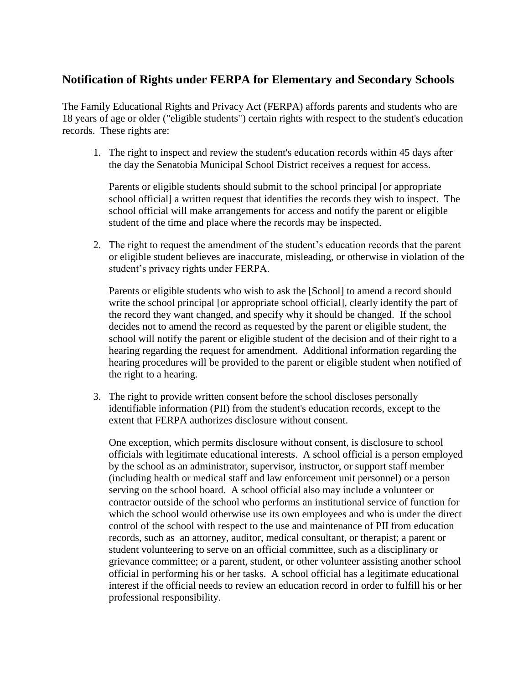## **Notification of Rights under FERPA for Elementary and Secondary Schools**

The Family Educational Rights and Privacy Act (FERPA) affords parents and students who are 18 years of age or older ("eligible students") certain rights with respect to the student's education records. These rights are:

1. The right to inspect and review the student's education records within 45 days after the day the Senatobia Municipal School District receives a request for access.

Parents or eligible students should submit to the school principal [or appropriate school official] a written request that identifies the records they wish to inspect. The school official will make arrangements for access and notify the parent or eligible student of the time and place where the records may be inspected.

2. The right to request the amendment of the student's education records that the parent or eligible student believes are inaccurate, misleading, or otherwise in violation of the student's privacy rights under FERPA.

Parents or eligible students who wish to ask the [School] to amend a record should write the school principal [or appropriate school official], clearly identify the part of the record they want changed, and specify why it should be changed. If the school decides not to amend the record as requested by the parent or eligible student, the school will notify the parent or eligible student of the decision and of their right to a hearing regarding the request for amendment. Additional information regarding the hearing procedures will be provided to the parent or eligible student when notified of the right to a hearing.

3. The right to provide written consent before the school discloses personally identifiable information (PII) from the student's education records, except to the extent that FERPA authorizes disclosure without consent.

One exception, which permits disclosure without consent, is disclosure to school officials with legitimate educational interests. A school official is a person employed by the school as an administrator, supervisor, instructor, or support staff member (including health or medical staff and law enforcement unit personnel) or a person serving on the school board. A school official also may include a volunteer or contractor outside of the school who performs an institutional service of function for which the school would otherwise use its own employees and who is under the direct control of the school with respect to the use and maintenance of PII from education records, such as an attorney, auditor, medical consultant, or therapist; a parent or student volunteering to serve on an official committee, such as a disciplinary or grievance committee; or a parent, student, or other volunteer assisting another school official in performing his or her tasks. A school official has a legitimate educational interest if the official needs to review an education record in order to fulfill his or her professional responsibility.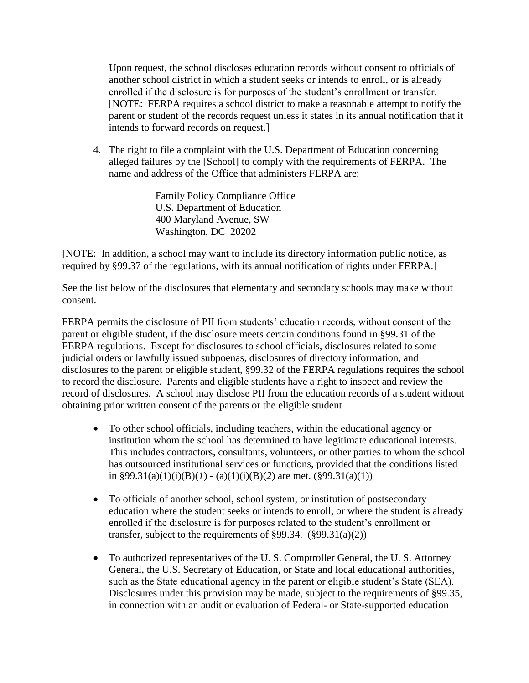Upon request, the school discloses education records without consent to officials of another school district in which a student seeks or intends to enroll, or is already enrolled if the disclosure is for purposes of the student's enrollment or transfer. [NOTE: FERPA requires a school district to make a reasonable attempt to notify the parent or student of the records request unless it states in its annual notification that it intends to forward records on request.]

4. The right to file a complaint with the U.S. Department of Education concerning alleged failures by the [School] to comply with the requirements of FERPA. The name and address of the Office that administers FERPA are:

> Family Policy Compliance Office U.S. Department of Education 400 Maryland Avenue, SW Washington, DC 20202

[NOTE: In addition, a school may want to include its directory information public notice, as required by §99.37 of the regulations, with its annual notification of rights under FERPA.]

See the list below of the disclosures that elementary and secondary schools may make without consent.

FERPA permits the disclosure of PII from students' education records, without consent of the parent or eligible student, if the disclosure meets certain conditions found in §99.31 of the FERPA regulations. Except for disclosures to school officials, disclosures related to some judicial orders or lawfully issued subpoenas, disclosures of directory information, and disclosures to the parent or eligible student, §99.32 of the FERPA regulations requires the school to record the disclosure. Parents and eligible students have a right to inspect and review the record of disclosures. A school may disclose PII from the education records of a student without obtaining prior written consent of the parents or the eligible student –

- To other school officials, including teachers, within the educational agency or institution whom the school has determined to have legitimate educational interests. This includes contractors, consultants, volunteers, or other parties to whom the school has outsourced institutional services or functions, provided that the conditions listed in  $\S 99.31(a)(1)(i)(B)(1) - (a)(1)(i)(B)(2)$  are met. ( $\S 99.31(a)(1)$ )
- To officials of another school, school system, or institution of postsecondary education where the student seeks or intends to enroll, or where the student is already enrolled if the disclosure is for purposes related to the student's enrollment or transfer, subject to the requirements of  $\S 99.34$ . ( $\S 99.31(a)(2)$ )
- To authorized representatives of the U. S. Comptroller General, the U. S. Attorney General, the U.S. Secretary of Education, or State and local educational authorities, such as the State educational agency in the parent or eligible student's State (SEA). Disclosures under this provision may be made, subject to the requirements of §99.35, in connection with an audit or evaluation of Federal- or State-supported education